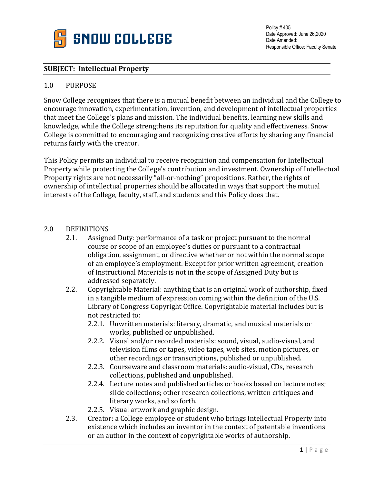

Policy # 405 Date Approved: June 26,2020 Date Amended: Responsible Office: Faculty Senate

## **SUBJECT: Intellectual Property**

## 1.0 PURPOSE

Snow College recognizes that there is a mutual benefit between an individual and the College to encourage innovation, experimentation, invention, and development of intellectual properties that meet the College's plans and mission. The individual benefits, learning new skills and knowledge, while the College strengthens its reputation for quality and effectiveness. Snow College is committed to encouraging and recognizing creative efforts by sharing any financial returns fairly with the creator.

This Policy permits an individual to receive recognition and compensation for Intellectual Property while protecting the College's contribution and investment. Ownership of Intellectual Property rights are not necessarily "all-or-nothing" propositions. Rather, the rights of ownership of intellectual properties should be allocated in ways that support the mutual interests of the College, faculty, staff, and students and this Policy does that.

## 2.0 DEFINITIONS<br>2.1. Assigne

- Assigned Duty: performance of a task or project pursuant to the normal course or scope of an employee's duties or pursuant to a contractual obligation, assignment, or directive whether or not within the normal scope of an employee's employment. Except for prior written agreement, creation of Instructional Materials is not in the scope of Assigned Duty but is addressed separately.
- 2.2. Copyrightable Material: anything that is an original work of authorship, fixed in a tangible medium of expression coming within the definition of the U.S. Library of Congress Copyright Office. Copyrightable material includes but is not restricted to:
	- 2.2.1. Unwritten materials: literary, dramatic, and musical materials or works, published or unpublished.
	- 2.2.2. Visual and/or recorded materials: sound, visual, audio-visual, and television films or tapes, video tapes, web sites, motion pictures, or other recordings or transcriptions, published or unpublished.
	- 2.2.3. Courseware and classroom materials: audio-visual, CDs, research collections, published and unpublished.
	- 2.2.4. Lecture notes and published articles or books based on lecture notes; slide collections; other research collections, written critiques and literary works, and so forth.
	- 2.2.5. Visual artwork and graphic design.
- 2.3. Creator: a College employee or student who brings Intellectual Property into existence which includes an inventor in the context of patentable inventions or an author in the context of copyrightable works of authorship.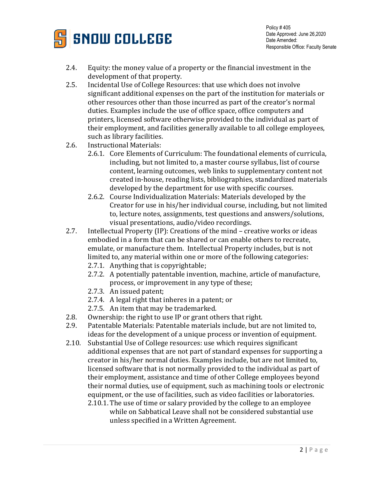

- 2.4. Equity: the money value of a property or the financial investment in the development of that property.
- 2.5. Incidental Use of College Resources: that use which does not involve significant additional expenses on the part of the institution for materials or other resources other than those incurred as part of the creator's normal duties. Examples include the use of office space, office computers and printers, licensed software otherwise provided to the individual as part of their employment, and facilities generally available to all college employees, such as library facilities.
- 2.6. Instructional Materials:
	- 2.6.1. Core Elements of Curriculum: The foundational elements of curricula, including, but not limited to, a master course syllabus, list of course content, learning outcomes, web links to supplementary content not created in-house, reading lists, bibliographies, standardized materials developed by the department for use with specific courses.
	- 2.6.2. Course Individualization Materials: Materials developed by the Creator for use in his/her individual course, including, but not limited to, lecture notes, assignments, test questions and answers/solutions, visual presentations, audio/video recordings.
- 2.7. Intellectual Property (IP): Creations of the mind creative works or ideas embodied in a form that can be shared or can enable others to recreate, emulate, or manufacture them. Intellectual Property includes, but is not limited to, any material within one or more of the following categories:
	- 2.7.1. Anything that is copyrightable;
	- 2.7.2. A potentially patentable invention, machine, article of manufacture, process, or improvement in any type of these;
	- 2.7.3. An issued patent;
	- 2.7.4. A legal right that inheres in a patent; or
	- 2.7.5. An item that may be trademarked.
- 2.8. Ownership: the right to use IP or grant others that right.<br>2.9. Patentable Materials: Patentable materials include, but a
- Patentable Materials: Patentable materials include, but are not limited to, ideas for the development of a unique process or invention of equipment.
- 2.10. Substantial Use of College resources: use which requires significant additional expenses that are not part of standard expenses for supporting a creator in his/her normal duties. Examples include, but are not limited to, licensed software that is not normally provided to the individual as part of their employment, assistance and time of other College employees beyond their normal duties, use of equipment, such as machining tools or electronic equipment, or the use of facilities, such as video facilities or laboratories. 2.10.1. The use of time or salary provided by the college to an employee
	- while on Sabbatical Leave shall not be considered substantial use unless specified in a Written Agreement.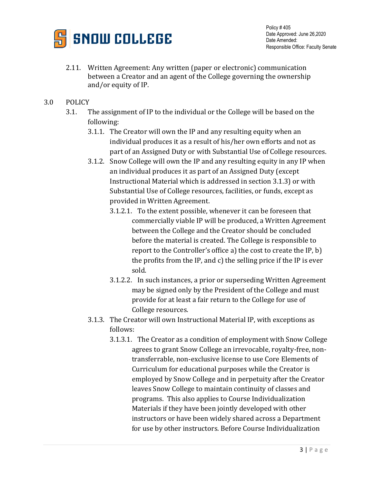

- 2.11. Written Agreement: Any written (paper or electronic) communication between a Creator and an agent of the College governing the ownership and/or equity of IP.
- 3.0 POLICY
	- 3.1. The assignment of IP to the individual or the College will be based on the following:
		- 3.1.1. The Creator will own the IP and any resulting equity when an individual produces it as a result of his/her own efforts and not as part of an Assigned Duty or with Substantial Use of College resources.
		- 3.1.2. Snow College will own the IP and any resulting equity in any IP when an individual produces it as part of an Assigned Duty (except Instructional Material which is addressed in section 3.1.3) or with Substantial Use of College resources, facilities, or funds, except as provided in Written Agreement.
			- 3.1.2.1. To the extent possible, whenever it can be foreseen that commercially viable IP will be produced, a Written Agreement between the College and the Creator should be concluded before the material is created. The College is responsible to report to the Controller's office a) the cost to create the IP, b) the profits from the IP, and c) the selling price if the IP is ever sold.
			- 3.1.2.2. In such instances, a prior or superseding Written Agreement may be signed only by the President of the College and must provide for at least a fair return to the College for use of College resources.
		- 3.1.3. The Creator will own Instructional Material IP, with exceptions as follows:
			- 3.1.3.1. The Creator as a condition of employment with Snow College agrees to grant Snow College an irrevocable, royalty-free, nontransferrable, non-exclusive license to use Core Elements of Curriculum for educational purposes while the Creator is employed by Snow College and in perpetuity after the Creator leaves Snow College to maintain continuity of classes and programs. This also applies to Course Individualization Materials if they have been jointly developed with other instructors or have been widely shared across a Department for use by other instructors. Before Course Individualization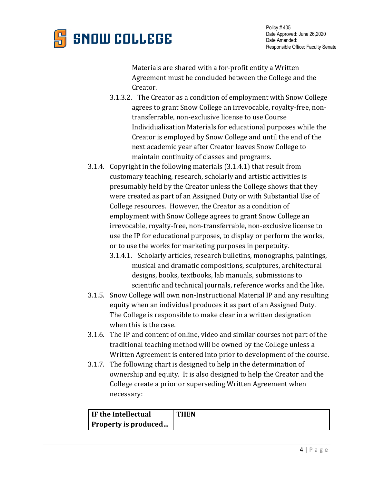

Policy # 405 Date Approved: June 26,2020 Date Amended: Responsible Office: Faculty Senate

Materials are shared with a for-profit entity a Written Agreement must be concluded between the College and the Creator.

- 3.1.3.2. The Creator as a condition of employment with Snow College agrees to grant Snow College an irrevocable, royalty-free, nontransferrable, non-exclusive license to use Course Individualization Materials for educational purposes while the Creator is employed by Snow College and until the end of the next academic year after Creator leaves Snow College to maintain continuity of classes and programs.
- 3.1.4. Copyright in the following materials (3.1.4.1) that result from customary teaching, research, scholarly and artistic activities is presumably held by the Creator unless the College shows that they were created as part of an Assigned Duty or with Substantial Use of College resources. However, the Creator as a condition of employment with Snow College agrees to grant Snow College an irrevocable, royalty-free, non-transferrable, non-exclusive license to use the IP for educational purposes, to display or perform the works, or to use the works for marketing purposes in perpetuity.
	- 3.1.4.1. Scholarly articles, research bulletins, monographs, paintings, musical and dramatic compositions, sculptures, architectural designs, books, textbooks, lab manuals, submissions to scientific and technical journals, reference works and the like.
- 3.1.5. Snow College will own non-Instructional Material IP and any resulting equity when an individual produces it as part of an Assigned Duty. The College is responsible to make clear in a written designation when this is the case.
- 3.1.6. The IP and content of online, video and similar courses not part of the traditional teaching method will be owned by the College unless a Written Agreement is entered into prior to development of the course.
- 3.1.7. The following chart is designed to help in the determination of ownership and equity. It is also designed to help the Creator and the College create a prior or superseding Written Agreement when necessary:

| If the Intellectual  | <b>THEN</b> |
|----------------------|-------------|
| Property is produced |             |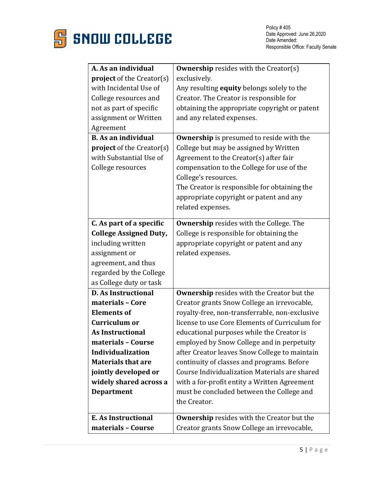

| A. As an individual              | <b>Ownership resides with the Creator(s)</b>      |
|----------------------------------|---------------------------------------------------|
| <b>project</b> of the Creator(s) | exclusively.                                      |
| with Incidental Use of           | Any resulting <b>equity</b> belongs solely to the |
| College resources and            | Creator. The Creator is responsible for           |
| not as part of specific          | obtaining the appropriate copyright or patent     |
| assignment or Written            | and any related expenses.                         |
| Agreement                        |                                                   |
| <b>B.</b> As an individual       | <b>Ownership</b> is presumed to reside with the   |
| <b>project</b> of the Creator(s) | College but may be assigned by Written            |
| with Substantial Use of          | Agreement to the Creator(s) after fair            |
| College resources                | compensation to the College for use of the        |
|                                  | College's resources.                              |
|                                  | The Creator is responsible for obtaining the      |
|                                  | appropriate copyright or patent and any           |
|                                  | related expenses.                                 |
|                                  |                                                   |
| C. As part of a specific         | <b>Ownership resides with the College. The</b>    |
| <b>College Assigned Duty,</b>    | College is responsible for obtaining the          |
| including written                | appropriate copyright or patent and any           |
| assignment or                    | related expenses.                                 |
| agreement, and thus              |                                                   |
| regarded by the College          |                                                   |
| as College duty or task          |                                                   |
| <b>D. As Instructional</b>       | <b>Ownership</b> resides with the Creator but the |
| materials - Core                 | Creator grants Snow College an irrevocable,       |
| <b>Elements of</b>               | royalty-free, non-transferrable, non-exclusive    |
| Curriculum or                    | license to use Core Elements of Curriculum for    |
| <b>As Instructional</b>          | educational purposes while the Creator is         |
| materials - Course               | employed by Snow College and in perpetuity        |
| <b>Individualization</b>         | after Creator leaves Snow College to maintain     |
| <b>Materials that are</b>        | continuity of classes and programs. Before        |
| jointly developed or             | Course Individualization Materials are shared     |
| widely shared across a           | with a for-profit entity a Written Agreement      |
| <b>Department</b>                | must be concluded between the College and         |
|                                  | the Creator.                                      |
|                                  |                                                   |
| E. As Instructional              | <b>Ownership</b> resides with the Creator but the |
| materials - Course               | Creator grants Snow College an irrevocable,       |